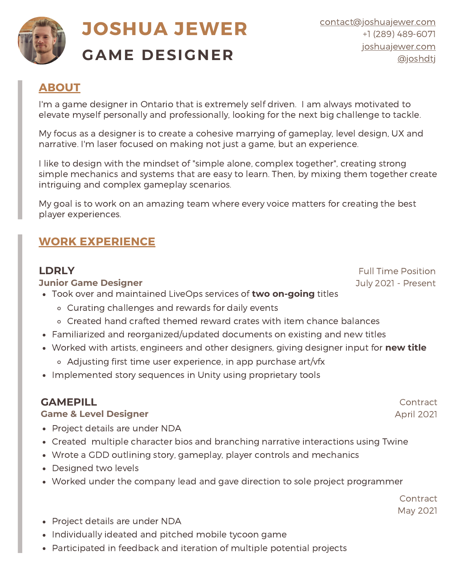

# **JOSHUA JEWER GAME DESIGNER**

# **ABOUT**

I'm a game designer in Ontario that is extremely self driven. I am always motivated to elevate myself personally and professionally, looking for the next big challenge to tackle.

My focus as a designer is to create a cohesive marrying of gameplay, level design, UX and narrative. I'm laser focused on making not just a game, but an experience.

I like to design with the mindset of "simple alone, complex together", creating strong simple mechanics and systems that are easy to learn. Then, by mixing them together create intriguing and complex gameplay scenarios.

My goal is to work on an amazing team where every voice matters for creating the best player experiences.

# **WORK EXPERIENCE**

## **LDRLY**

## **Junior Game Designer**

- Took over and maintained LiveOps services of **two on-going** titles
	- Curating challenges and rewards for daily events
	- Created hand crafted themed reward crates with item chance balances
- Familiarized and reorganized/updated documents on existing and new titles
- Worked with artists, engineers and other designers, giving designer input for **new title**
	- Adjusting first time user experience, in app purchase art/vfx
- Implemented story sequences in Unity using proprietary tools

# **GAMEPILL**

## **Game & Level Designer**

- Project details are under NDA
- Created multiple character bios and branching narrative interactions using Twine
- Wrote a GDD outlining story, gameplay, player controls and mechanics
- Designed two levels
- Worked under the company lead and gave direction to sole project programmer

**Contract** May 2021

- Project details are under NDA
- Individually ideated and pitched mobile tycoon game
- Participated in feedback and iteration of multiple potential projects

Full Time Position July 2021 - Present

> Contract April 2021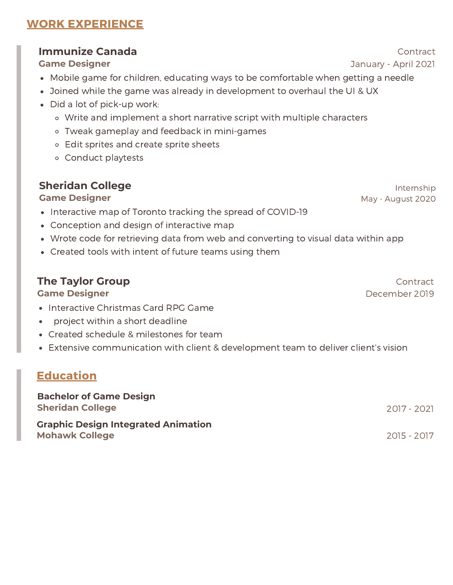# **WORK EXPERIENCE**

## **Immunize Canada**

#### **Game Designer**

- Mobile game for children, educating ways to be comfortable when getting a needle
- Joined while the game was already in development to overhaul the UI & UX
- Did a lot of pick-up work:
	- Write and implement a short narrative script with multiple characters
	- Tweak gameplay and feedback in mini-games
	- Edit sprites and create sprite sheets
	- Conduct playtests

## **Sheridan College**

### **Game Designer**

- Interactive map of Toronto tracking the spread of COVID-19
- Conception and design of interactive map
- Wrote code for retrieving data from web and converting to visual data within app
- Created tools with intent of future teams using them

## **The Taylor Group**

### **Game Designer**

- Interactive Christmas Card RPG Game
- project within a short deadline
- Created schedule & milestones for team
- Extensive communication with client & development team to deliver client's vision

# **Education**

| <b>Bachelor of Game Design</b><br><b>Sheridan College</b>           | 2017 - 2021   |
|---------------------------------------------------------------------|---------------|
| <b>Graphic Design Integrated Animation</b><br><b>Mohawk College</b> | - 2015 - 2017 |

**Contract** January - April 2021

> Internship May - August 2020

**Contract** December 2019